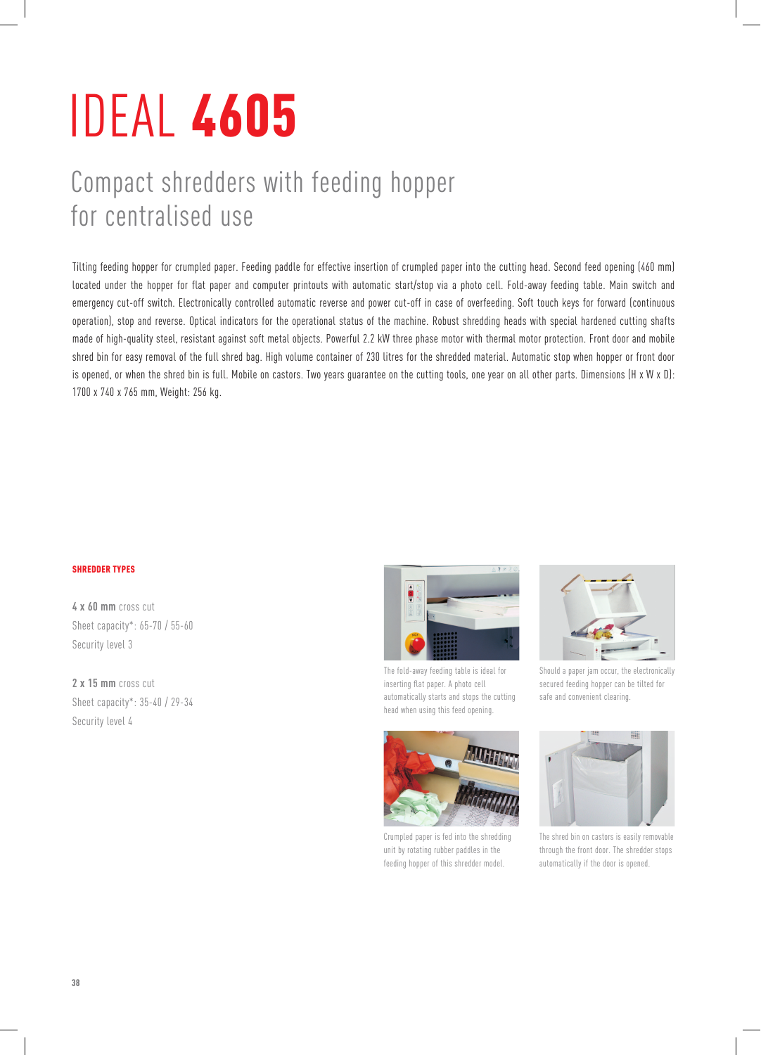## IDEAL 4605

## Compact shredders with feeding hopper for centralised use

Tilting feeding hopper for crumpled paper. Feeding paddle for effective insertion of crumpled paper into the cutting head. Second feed opening (460 mm) located under the hopper for flat paper and computer printouts with automatic start/stop via a photo cell. Fold-away feeding table. Main switch and emergency cut-off switch. Electronically controlled automatic reverse and power cut-off in case of overfeeding. Soft touch keys for forward (continuous operation), stop and reverse. Optical indicators for the operational status of the machine. Robust shredding heads with special hardened cutting shafts made of high-quality steel, resistant against soft metal objects. Powerful 2.2 kW three phase motor with thermal motor protection. Front door and mobile shred bin for easy removal of the full shred bag. High volume container of 230 litres for the shredded material. Automatic stop when hopper or front door is opened, or when the shred bin is full. Mobile on castors. Two years guarantee on the cutting tools, one year on all other parts. Dimensions (H x W x D): 1700 x 740 x 765 mm, Weight: 256 kg.

## shredder types

**4 x 60 mm** cross cut Sheet capacity\*: 65-70 / 55-60 Security level 3

**2 x 15 mm** cross cut Sheet capacity\*: 35-40 / 29-34 Security level 4



The fold-away feeding table is ideal for inserting flat paper. A photo cell automatically starts and stops the cutting head when using this feed opening.



Crumpled paper is fed into the shredding unit by rotating rubber paddles in the feeding hopper of this shredder model.



Should a paper jam occur, the electronically secured feeding hopper can be tilted for safe and convenient clearing.



The shred bin on castors is easily removable through the front door. The shredder stops automatically if the door is opened.